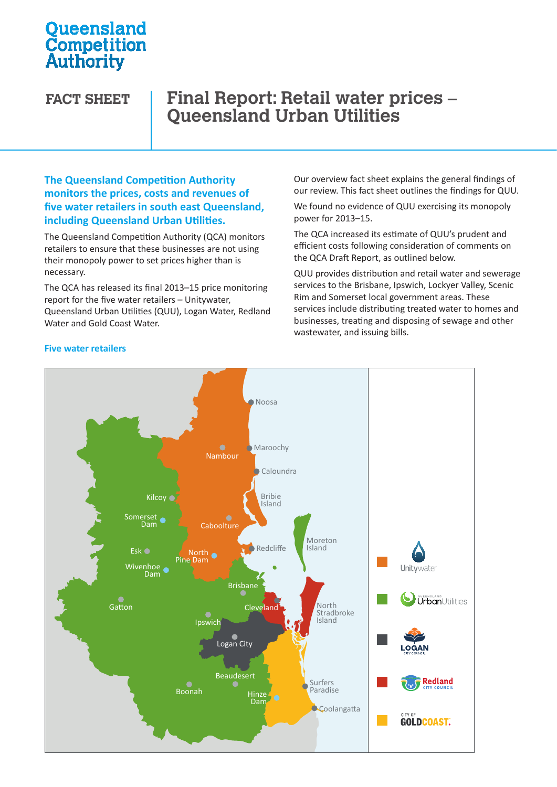# **Oueensland Competition**<br>Authority

# **FACT SHEET Final Report: Retail water prices – Queensland Urban Utilities**

#### **The Queensland Competition Authority monitors the prices, costs and revenues of five water retailers in south east Queensland, including Queensland Urban Utilities.**

The Queensland Competition Authority (QCA) monitors retailers to ensure that these businesses are not using their monopoly power to set prices higher than is necessary.

The QCA has released its final 2013–15 price monitoring report for the five water retailers – Unitywater, The Sommer Rim and Somer Queensland Urban Utilities (QUU), Logan Water, Redland Water and Gold Coast Water.

Our overview fact sheet explains the general findings of our review. This fact sheet outlines the findings for QUU.

We found no evidence of QUU exercising its monopoly power for 2013–15.

The QCA increased its estimate of QUU's prudent and efficient costs following consideration of comments on the QCA Draft Report, as outlined below.

QUU provides distribution and retail water and sewerage services to the Brisbane, Ipswich, Lockyer Valley, Scenic Rim and Somerset local government areas. These services include distributing treated water to homes and businesses, treating and disposing of sewage and other wastewater, and issuing bills.



#### **Five water retailers**